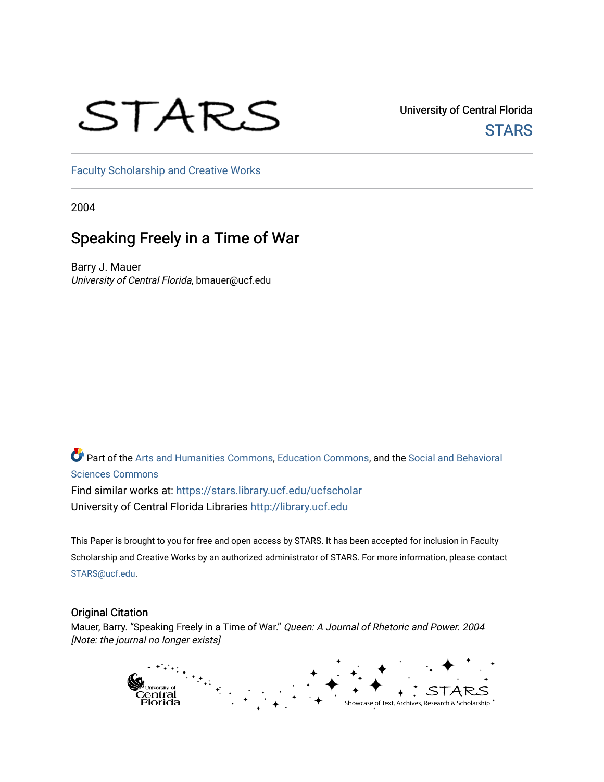# STARS

University of Central Florida **STARS** 

[Faculty Scholarship and Creative Works](https://stars.library.ucf.edu/ucfscholar) 

2004

## Speaking Freely in a Time of War

Barry J. Mauer University of Central Florida, bmauer@ucf.edu

Part of the [Arts and Humanities Commons,](http://network.bepress.com/hgg/discipline/438?utm_source=stars.library.ucf.edu%2Fucfscholar%2F609&utm_medium=PDF&utm_campaign=PDFCoverPages) [Education Commons](http://network.bepress.com/hgg/discipline/784?utm_source=stars.library.ucf.edu%2Fucfscholar%2F609&utm_medium=PDF&utm_campaign=PDFCoverPages), and the [Social and Behavioral](http://network.bepress.com/hgg/discipline/316?utm_source=stars.library.ucf.edu%2Fucfscholar%2F609&utm_medium=PDF&utm_campaign=PDFCoverPages) [Sciences Commons](http://network.bepress.com/hgg/discipline/316?utm_source=stars.library.ucf.edu%2Fucfscholar%2F609&utm_medium=PDF&utm_campaign=PDFCoverPages)  Find similar works at: <https://stars.library.ucf.edu/ucfscholar> University of Central Florida Libraries [http://library.ucf.edu](http://library.ucf.edu/) 

This Paper is brought to you for free and open access by STARS. It has been accepted for inclusion in Faculty Scholarship and Creative Works by an authorized administrator of STARS. For more information, please contact [STARS@ucf.edu](mailto:STARS@ucf.edu).

#### Original Citation

Mauer, Barry. "Speaking Freely in a Time of War." Queen: A Journal of Rhetoric and Power. 2004 [Note: the journal no longer exists]

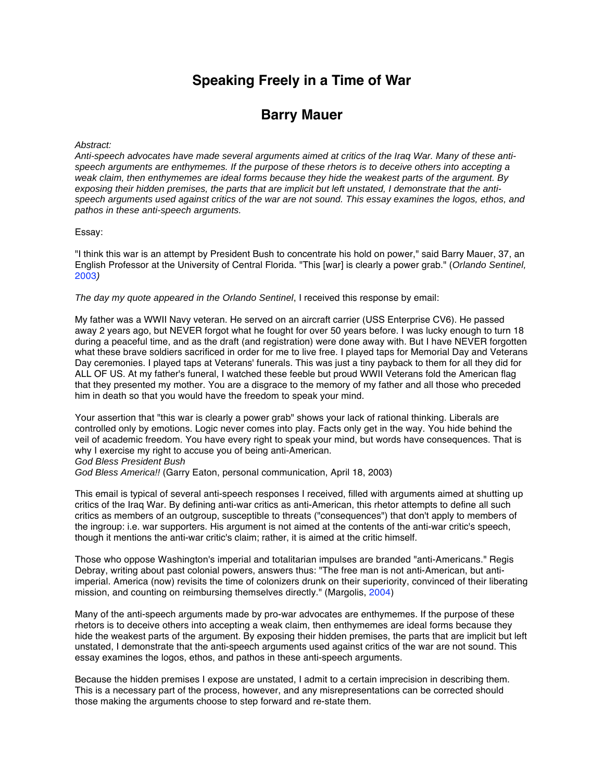## **Speaking Freely in a Time of War**

### **Barry Mauer**

#### Abstract:

Anti-speech advocates have made several arguments aimed at critics of the Iraq War. Many of these antispeech arguments are enthymemes. If the purpose of these rhetors is to deceive others into accepting a weak claim, then enthymemes are ideal forms because they hide the weakest parts of the argument. By exposing their hidden premises, the parts that are implicit but left unstated, I demonstrate that the antispeech arguments used against critics of the war are not sound. This essay examines the logos, ethos, and pathos in these anti-speech arguments.

#### Essay:

"I think this war is an attempt by President Bush to concentrate his hold on power," said Barry Mauer, 37, an English Professor at the University of Central Florida. "This [war] is clearly a power grab." (Orlando Sentinel, 2003)

The day my quote appeared in the Orlando Sentinel, I received this response by email:

My father was a WWII Navy veteran. He served on an aircraft carrier (USS Enterprise CV6). He passed away 2 years ago, but NEVER forgot what he fought for over 50 years before. I was lucky enough to turn 18 during a peaceful time, and as the draft (and registration) were done away with. But I have NEVER forgotten what these brave soldiers sacrificed in order for me to live free. I played taps for Memorial Day and Veterans Day ceremonies. I played taps at Veterans' funerals. This was just a tiny payback to them for all they did for ALL OF US. At my father's funeral, I watched these feeble but proud WWII Veterans fold the American flag that they presented my mother. You are a disgrace to the memory of my father and all those who preceded him in death so that you would have the freedom to speak your mind.

Your assertion that "this war is clearly a power grab" shows your lack of rational thinking. Liberals are controlled only by emotions. Logic never comes into play. Facts only get in the way. You hide behind the veil of academic freedom. You have every right to speak your mind, but words have consequences. That is why I exercise my right to accuse you of being anti-American.

God Bless President Bush

God Bless America!! (Garry Eaton, personal communication, April 18, 2003)

This email is typical of several anti-speech responses I received, filled with arguments aimed at shutting up critics of the Iraq War. By defining anti-war critics as anti-American, this rhetor attempts to define all such critics as members of an outgroup, susceptible to threats ("consequences") that don't apply to members of the ingroup: i.e. war supporters. His argument is not aimed at the contents of the anti-war critic's speech, though it mentions the anti-war critic's claim; rather, it is aimed at the critic himself.

Those who oppose Washington's imperial and totalitarian impulses are branded "anti-Americans." Regis Debray, writing about past colonial powers, answers thus: "The free man is not anti-American, but antiimperial. America (now) revisits the time of colonizers drunk on their superiority, convinced of their liberating mission, and counting on reimbursing themselves directly." (Margolis, 2004)

Many of the anti-speech arguments made by pro-war advocates are enthymemes. If the purpose of these rhetors is to deceive others into accepting a weak claim, then enthymemes are ideal forms because they hide the weakest parts of the argument. By exposing their hidden premises, the parts that are implicit but left unstated, I demonstrate that the anti-speech arguments used against critics of the war are not sound. This essay examines the logos, ethos, and pathos in these anti-speech arguments.

Because the hidden premises I expose are unstated, I admit to a certain imprecision in describing them. This is a necessary part of the process, however, and any misrepresentations can be corrected should those making the arguments choose to step forward and re-state them.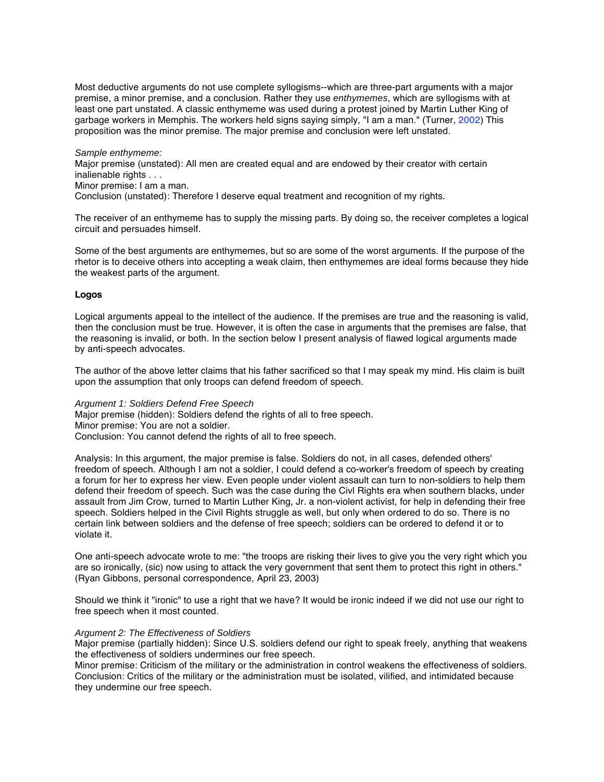Most deductive arguments do not use complete syllogisms--which are three-part arguments with a major premise, a minor premise, and a conclusion. Rather they use enthymemes, which are syllogisms with at least one part unstated. A classic enthymeme was used during a protest joined by Martin Luther King of garbage workers in Memphis. The workers held signs saying simply, "I am a man." (Turner, 2002) This proposition was the minor premise. The major premise and conclusion were left unstated.

Sample enthymeme:

Major premise (unstated): All men are created equal and are endowed by their creator with certain inalienable rights . . .

Minor premise: I am a man.

Conclusion (unstated): Therefore I deserve equal treatment and recognition of my rights.

The receiver of an enthymeme has to supply the missing parts. By doing so, the receiver completes a logical circuit and persuades himself.

Some of the best arguments are enthymemes, but so are some of the worst arguments. If the purpose of the rhetor is to deceive others into accepting a weak claim, then enthymemes are ideal forms because they hide the weakest parts of the argument.

#### **Logos**

Logical arguments appeal to the intellect of the audience. If the premises are true and the reasoning is valid, then the conclusion must be true. However, it is often the case in arguments that the premises are false, that the reasoning is invalid, or both. In the section below I present analysis of flawed logical arguments made by anti-speech advocates.

The author of the above letter claims that his father sacrificed so that I may speak my mind. His claim is built upon the assumption that only troops can defend freedom of speech.

#### Argument 1: Soldiers Defend Free Speech

Major premise (hidden): Soldiers defend the rights of all to free speech.

Minor premise: You are not a soldier.

Conclusion: You cannot defend the rights of all to free speech.

Analysis: In this argument, the major premise is false. Soldiers do not, in all cases, defended others' freedom of speech. Although I am not a soldier, I could defend a co-worker's freedom of speech by creating a forum for her to express her view. Even people under violent assault can turn to non-soldiers to help them defend their freedom of speech. Such was the case during the Civl Rights era when southern blacks, under assault from Jim Crow, turned to Martin Luther King, Jr. a non-violent activist, for help in defending their free speech. Soldiers helped in the Civil Rights struggle as well, but only when ordered to do so. There is no certain link between soldiers and the defense of free speech; soldiers can be ordered to defend it or to violate it.

One anti-speech advocate wrote to me: "the troops are risking their lives to give you the very right which you are so ironically, (sic) now using to attack the very government that sent them to protect this right in others." (Ryan Gibbons, personal correspondence, April 23, 2003)

Should we think it "ironic" to use a right that we have? It would be ironic indeed if we did not use our right to free speech when it most counted.

#### Argument 2: The Effectiveness of Soldiers

Major premise (partially hidden): Since U.S. soldiers defend our right to speak freely, anything that weakens the effectiveness of soldiers undermines our free speech.

Minor premise: Criticism of the military or the administration in control weakens the effectiveness of soldiers. Conclusion: Critics of the military or the administration must be isolated, vilified, and intimidated because they undermine our free speech.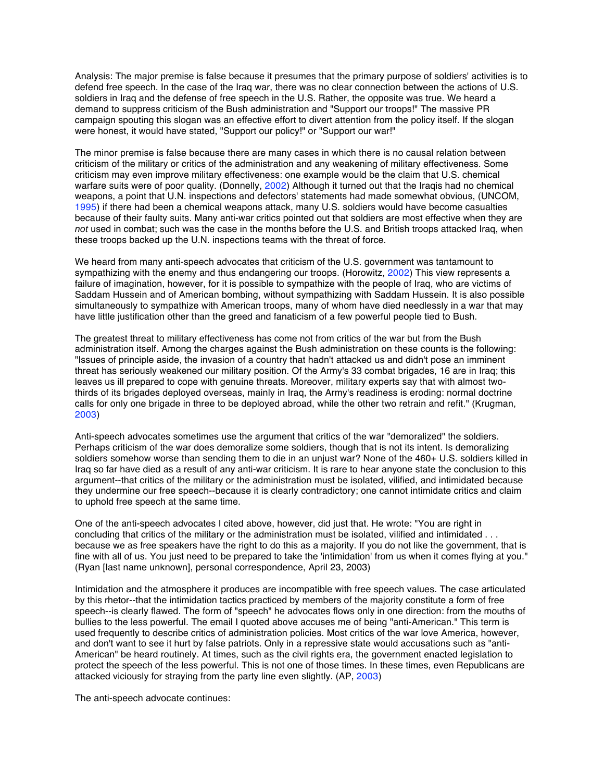Analysis: The major premise is false because it presumes that the primary purpose of soldiers' activities is to defend free speech. In the case of the Iraq war, there was no clear connection between the actions of U.S. soldiers in Iraq and the defense of free speech in the U.S. Rather, the opposite was true. We heard a demand to suppress criticism of the Bush administration and "Support our troops!" The massive PR campaign spouting this slogan was an effective effort to divert attention from the policy itself. If the slogan were honest, it would have stated, "Support our policy!" or "Support our war!"

The minor premise is false because there are many cases in which there is no causal relation between criticism of the military or critics of the administration and any weakening of military effectiveness. Some criticism may even improve military effectiveness: one example would be the claim that U.S. chemical warfare suits were of poor quality. (Donnelly, 2002) Although it turned out that the Iraqis had no chemical weapons, a point that U.N. inspections and defectors' statements had made somewhat obvious, (UNCOM, 1995) if there had been a chemical weapons attack, many U.S. soldiers would have become casualties because of their faulty suits. Many anti-war critics pointed out that soldiers are most effective when they are not used in combat; such was the case in the months before the U.S. and British troops attacked Iraq, when these troops backed up the U.N. inspections teams with the threat of force.

We heard from many anti-speech advocates that criticism of the U.S. government was tantamount to sympathizing with the enemy and thus endangering our troops. (Horowitz, 2002) This view represents a failure of imagination, however, for it is possible to sympathize with the people of Iraq, who are victims of Saddam Hussein and of American bombing, without sympathizing with Saddam Hussein. It is also possible simultaneously to sympathize with American troops, many of whom have died needlessly in a war that may have little justification other than the greed and fanaticism of a few powerful people tied to Bush.

The greatest threat to military effectiveness has come not from critics of the war but from the Bush administration itself. Among the charges against the Bush administration on these counts is the following: "Issues of principle aside, the invasion of a country that hadn't attacked us and didn't pose an imminent threat has seriously weakened our military position. Of the Army's 33 combat brigades, 16 are in Iraq; this leaves us ill prepared to cope with genuine threats. Moreover, military experts say that with almost twothirds of its brigades deployed overseas, mainly in Iraq, the Army's readiness is eroding: normal doctrine calls for only one brigade in three to be deployed abroad, while the other two retrain and refit." (Krugman, 2003)

Anti-speech advocates sometimes use the argument that critics of the war "demoralized" the soldiers. Perhaps criticism of the war does demoralize some soldiers, though that is not its intent. Is demoralizing soldiers somehow worse than sending them to die in an unjust war? None of the 460+ U.S. soldiers killed in Iraq so far have died as a result of any anti-war criticism. It is rare to hear anyone state the conclusion to this argument--that critics of the military or the administration must be isolated, vilified, and intimidated because they undermine our free speech--because it is clearly contradictory; one cannot intimidate critics and claim to uphold free speech at the same time.

One of the anti-speech advocates I cited above, however, did just that. He wrote: "You are right in concluding that critics of the military or the administration must be isolated, vilified and intimidated . . . because we as free speakers have the right to do this as a majority. If you do not like the government, that is fine with all of us. You just need to be prepared to take the 'intimidation' from us when it comes flying at you." (Ryan [last name unknown], personal correspondence, April 23, 2003)

Intimidation and the atmosphere it produces are incompatible with free speech values. The case articulated by this rhetor--that the intimidation tactics practiced by members of the majority constitute a form of free speech--is clearly flawed. The form of "speech" he advocates flows only in one direction: from the mouths of bullies to the less powerful. The email I quoted above accuses me of being "anti-American." This term is used frequently to describe critics of administration policies. Most critics of the war love America, however, and don't want to see it hurt by false patriots. Only in a repressive state would accusations such as "anti-American" be heard routinely. At times, such as the civil rights era, the government enacted legislation to protect the speech of the less powerful. This is not one of those times. In these times, even Republicans are attacked viciously for straying from the party line even slightly. (AP, 2003)

The anti-speech advocate continues: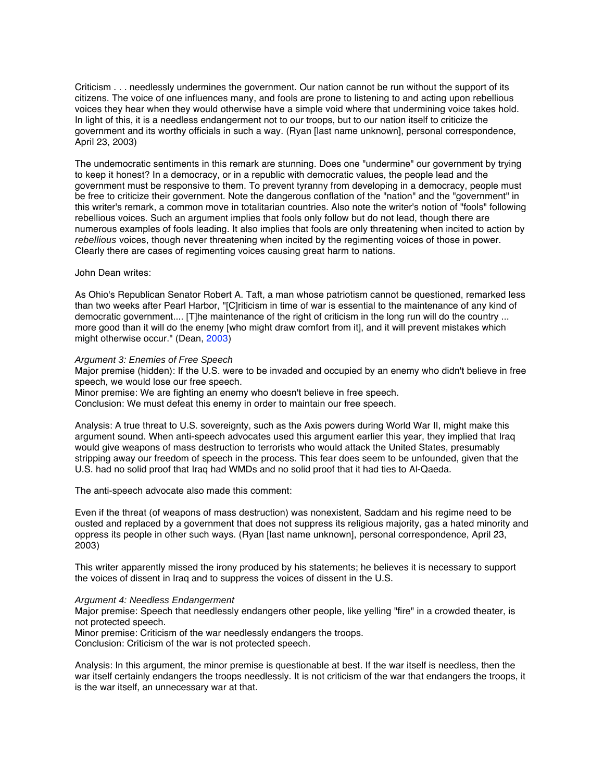Criticism . . . needlessly undermines the government. Our nation cannot be run without the support of its citizens. The voice of one influences many, and fools are prone to listening to and acting upon rebellious voices they hear when they would otherwise have a simple void where that undermining voice takes hold. In light of this, it is a needless endangerment not to our troops, but to our nation itself to criticize the government and its worthy officials in such a way. (Ryan [last name unknown], personal correspondence, April 23, 2003)

The undemocratic sentiments in this remark are stunning. Does one "undermine" our government by trying to keep it honest? In a democracy, or in a republic with democratic values, the people lead and the government must be responsive to them. To prevent tyranny from developing in a democracy, people must be free to criticize their government. Note the dangerous conflation of the "nation" and the "government" in this writer's remark, a common move in totalitarian countries. Also note the writer's notion of "fools" following rebellious voices. Such an argument implies that fools only follow but do not lead, though there are numerous examples of fools leading. It also implies that fools are only threatening when incited to action by rebellious voices, though never threatening when incited by the regimenting voices of those in power. Clearly there are cases of regimenting voices causing great harm to nations.

#### John Dean writes:

As Ohio's Republican Senator Robert A. Taft, a man whose patriotism cannot be questioned, remarked less than two weeks after Pearl Harbor, "[C]riticism in time of war is essential to the maintenance of any kind of democratic government.... [T]he maintenance of the right of criticism in the long run will do the country ... more good than it will do the enemy [who might draw comfort from it], and it will prevent mistakes which might otherwise occur." (Dean, 2003)

#### Argument 3: Enemies of Free Speech

Major premise (hidden): If the U.S. were to be invaded and occupied by an enemy who didn't believe in free speech, we would lose our free speech.

Minor premise: We are fighting an enemy who doesn't believe in free speech.

Conclusion: We must defeat this enemy in order to maintain our free speech.

Analysis: A true threat to U.S. sovereignty, such as the Axis powers during World War II, might make this argument sound. When anti-speech advocates used this argument earlier this year, they implied that Iraq would give weapons of mass destruction to terrorists who would attack the United States, presumably stripping away our freedom of speech in the process. This fear does seem to be unfounded, given that the U.S. had no solid proof that Iraq had WMDs and no solid proof that it had ties to Al-Qaeda.

The anti-speech advocate also made this comment:

Even if the threat (of weapons of mass destruction) was nonexistent, Saddam and his regime need to be ousted and replaced by a government that does not suppress its religious majority, gas a hated minority and oppress its people in other such ways. (Ryan [last name unknown], personal correspondence, April 23, 2003)

This writer apparently missed the irony produced by his statements; he believes it is necessary to support the voices of dissent in Iraq and to suppress the voices of dissent in the U.S.

#### Argument 4: Needless Endangerment

Major premise: Speech that needlessly endangers other people, like yelling "fire" in a crowded theater, is not protected speech.

Minor premise: Criticism of the war needlessly endangers the troops.

Conclusion: Criticism of the war is not protected speech.

Analysis: In this argument, the minor premise is questionable at best. If the war itself is needless, then the war itself certainly endangers the troops needlessly. It is not criticism of the war that endangers the troops, it is the war itself, an unnecessary war at that.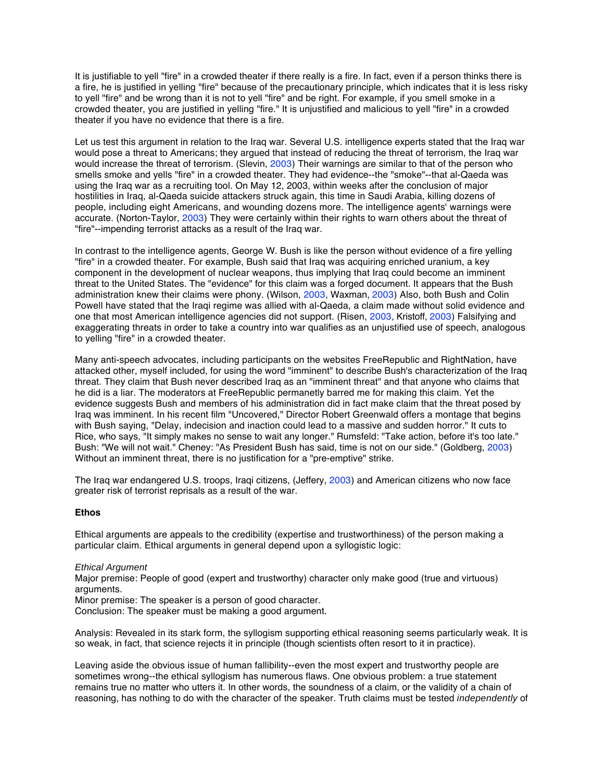It is justifiable to yell "fire" in a crowded theater if there really is a fire. In fact, even if a person thinks there is a fire, he is justified in yelling "fire" because of the precautionary principle, which indicates that it is less risky to yell "fire" and be wrong than it is not to yell "fire" and be right. For example, if you smell smoke in a crowded theater, you are justified in yelling "fire." It is unjustified and malicious to yell "fire" in a crowded theater if you have no evidence that there is a fire.

Let us test this argument in relation to the Iraq war. Several U.S. intelligence experts stated that the Iraq war would pose a threat to Americans; they argued that instead of reducing the threat of terrorism, the Iraq war would increase the threat of terrorism. (Slevin, 2003) Their warnings are similar to that of the person who smells smoke and yells "fire" in a crowded theater. They had evidence--the "smoke"--that al-Qaeda was using the Iraq war as a recruiting tool. On May 12, 2003, within weeks after the conclusion of major hostilities in Iraq, al-Qaeda suicide attackers struck again, this time in Saudi Arabia, killing dozens of people, including eight Americans, and wounding dozens more. The intelligence agents' warnings were accurate. (Norton-Taylor, 2003) They were certainly within their rights to warn others about the threat of "fire"--impending terrorist attacks as a result of the Iraq war.

In contrast to the intelligence agents, George W. Bush is like the person without evidence of a fire yelling "fire" in a crowded theater. For example, Bush said that Iraq was acquiring enriched uranium, a key component in the development of nuclear weapons, thus implying that Iraq could become an imminent threat to the United States. The "evidence" for this claim was a forged document. It appears that the Bush administration knew their claims were phony. (Wilson, 2003, Waxman, 2003) Also, both Bush and Colin Powell have stated that the Iraqi regime was allied with al-Qaeda, a claim made without solid evidence and one that most American intelligence agencies did not support. (Risen, 2003, Kristoff, 2003) Falsifying and exaggerating threats in order to take a country into war qualifies as an unjustified use of speech, analogous to yelling "fire" in a crowded theater.

Many anti-speech advocates, including participants on the websites FreeRepublic and RightNation, have attacked other, myself included, for using the word "imminent" to describe Bush's characterization of the Iraq threat. They claim that Bush never described Iraq as an "imminent threat" and that anyone who claims that he did is a liar. The moderators at FreeRepublic permanetly barred me for making this claim. Yet the evidence suggests Bush and members of his administration did in fact make claim that the threat posed by Iraq was imminent. In his recent film "Uncovered," Director Robert Greenwald offers a montage that begins with Bush saying, "Delay, indecision and inaction could lead to a massive and sudden horror." It cuts to Rice, who says, "It simply makes no sense to wait any longer." Rumsfeld: "Take action, before it's too late." Bush: "We will not wait." Cheney: "As President Bush has said, time is not on our side." (Goldberg, 2003) Without an imminent threat, there is no justification for a "pre-emptive" strike.

The Iraq war endangered U.S. troops, Iraqi citizens, (Jeffery, 2003) and American citizens who now face greater risk of terrorist reprisals as a result of the war.

#### **Ethos**

Ethical arguments are appeals to the credibility (expertise and trustworthiness) of the person making a particular claim. Ethical arguments in general depend upon a syllogistic logic:

#### Ethical Argument

Major premise: People of good (expert and trustworthy) character only make good (true and virtuous) arguments.

Minor premise: The speaker is a person of good character.

Conclusion: The speaker must be making a good argument.

Analysis: Revealed in its stark form, the syllogism supporting ethical reasoning seems particularly weak. It is so weak, in fact, that science rejects it in principle (though scientists often resort to it in practice).

Leaving aside the obvious issue of human fallibility--even the most expert and trustworthy people are sometimes wrong--the ethical syllogism has numerous flaws. One obvious problem: a true statement remains true no matter who utters it. In other words, the soundness of a claim, or the validity of a chain of reasoning, has nothing to do with the character of the speaker. Truth claims must be tested *independently* of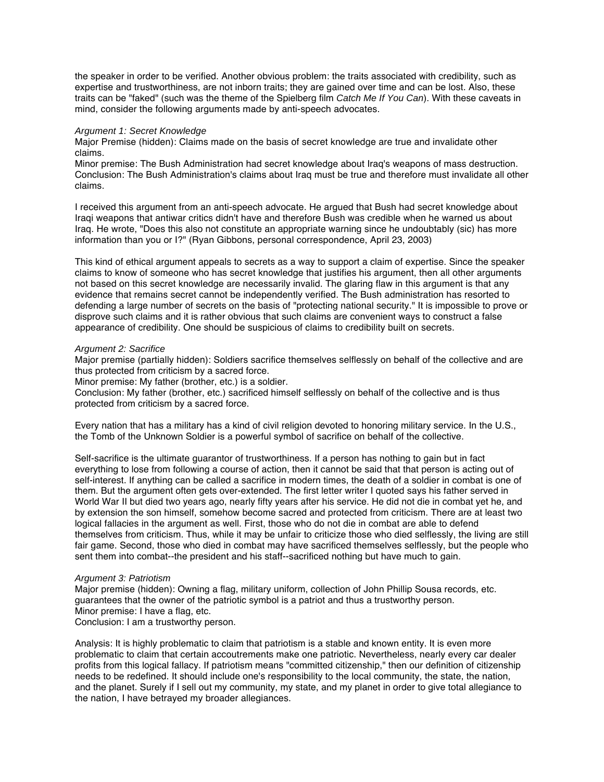the speaker in order to be verified. Another obvious problem: the traits associated with credibility, such as expertise and trustworthiness, are not inborn traits; they are gained over time and can be lost. Also, these traits can be "faked" (such was the theme of the Spielberg film Catch Me If You Can). With these caveats in mind, consider the following arguments made by anti-speech advocates.

#### Argument 1: Secret Knowledge

Major Premise (hidden): Claims made on the basis of secret knowledge are true and invalidate other claims.

Minor premise: The Bush Administration had secret knowledge about Iraq's weapons of mass destruction. Conclusion: The Bush Administration's claims about Iraq must be true and therefore must invalidate all other claims.

I received this argument from an anti-speech advocate. He argued that Bush had secret knowledge about Iraqi weapons that antiwar critics didn't have and therefore Bush was credible when he warned us about Iraq. He wrote, "Does this also not constitute an appropriate warning since he undoubtably (sic) has more information than you or I?" (Ryan Gibbons, personal correspondence, April 23, 2003)

This kind of ethical argument appeals to secrets as a way to support a claim of expertise. Since the speaker claims to know of someone who has secret knowledge that justifies his argument, then all other arguments not based on this secret knowledge are necessarily invalid. The glaring flaw in this argument is that any evidence that remains secret cannot be independently verified. The Bush administration has resorted to defending a large number of secrets on the basis of "protecting national security." It is impossible to prove or disprove such claims and it is rather obvious that such claims are convenient ways to construct a false appearance of credibility. One should be suspicious of claims to credibility built on secrets.

#### Argument 2: Sacrifice

Major premise (partially hidden): Soldiers sacrifice themselves selflessly on behalf of the collective and are thus protected from criticism by a sacred force.

Minor premise: My father (brother, etc.) is a soldier.

Conclusion: My father (brother, etc.) sacrificed himself selflessly on behalf of the collective and is thus protected from criticism by a sacred force.

Every nation that has a military has a kind of civil religion devoted to honoring military service. In the U.S., the Tomb of the Unknown Soldier is a powerful symbol of sacrifice on behalf of the collective.

Self-sacrifice is the ultimate guarantor of trustworthiness. If a person has nothing to gain but in fact everything to lose from following a course of action, then it cannot be said that that person is acting out of self-interest. If anything can be called a sacrifice in modern times, the death of a soldier in combat is one of them. But the argument often gets over-extended. The first letter writer I quoted says his father served in World War II but died two years ago, nearly fifty years after his service. He did not die in combat yet he, and by extension the son himself, somehow become sacred and protected from criticism. There are at least two logical fallacies in the argument as well. First, those who do not die in combat are able to defend themselves from criticism. Thus, while it may be unfair to criticize those who died selflessly, the living are still fair game. Second, those who died in combat may have sacrificed themselves selflessly, but the people who sent them into combat--the president and his staff--sacrificed nothing but have much to gain.

#### Argument 3: Patriotism

Major premise (hidden): Owning a flag, military uniform, collection of John Phillip Sousa records, etc. guarantees that the owner of the patriotic symbol is a patriot and thus a trustworthy person. Minor premise: I have a flag, etc. Conclusion: I am a trustworthy person.

Analysis: It is highly problematic to claim that patriotism is a stable and known entity. It is even more problematic to claim that certain accoutrements make one patriotic. Nevertheless, nearly every car dealer profits from this logical fallacy. If patriotism means "committed citizenship," then our definition of citizenship needs to be redefined. It should include one's responsibility to the local community, the state, the nation, and the planet. Surely if I sell out my community, my state, and my planet in order to give total allegiance to the nation, I have betrayed my broader allegiances.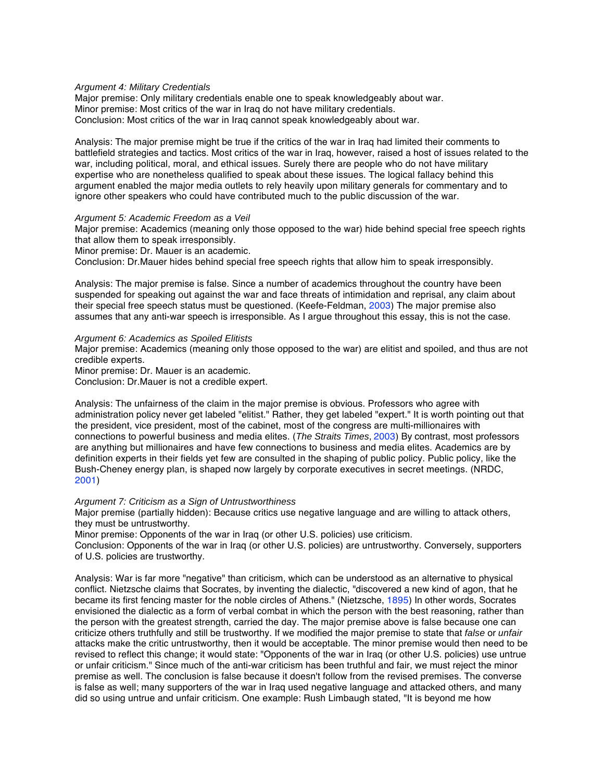#### Argument 4: Military Credentials

Major premise: Only military credentials enable one to speak knowledgeably about war. Minor premise: Most critics of the war in Iraq do not have military credentials. Conclusion: Most critics of the war in Iraq cannot speak knowledgeably about war.

Analysis: The major premise might be true if the critics of the war in Iraq had limited their comments to battlefield strategies and tactics. Most critics of the war in Iraq, however, raised a host of issues related to the war, including political, moral, and ethical issues. Surely there are people who do not have military expertise who are nonetheless qualified to speak about these issues. The logical fallacy behind this argument enabled the major media outlets to rely heavily upon military generals for commentary and to ignore other speakers who could have contributed much to the public discussion of the war.

#### Argument 5: Academic Freedom as a Veil

Major premise: Academics (meaning only those opposed to the war) hide behind special free speech rights that allow them to speak irresponsibly.

Minor premise: Dr. Mauer is an academic.

Conclusion: Dr.Mauer hides behind special free speech rights that allow him to speak irresponsibly.

Analysis: The major premise is false. Since a number of academics throughout the country have been suspended for speaking out against the war and face threats of intimidation and reprisal, any claim about their special free speech status must be questioned. (Keefe-Feldman, 2003) The major premise also assumes that any anti-war speech is irresponsible. As I argue throughout this essay, this is not the case.

Argument 6: Academics as Spoiled Elitists

Major premise: Academics (meaning only those opposed to the war) are elitist and spoiled, and thus are not credible experts.

Minor premise: Dr. Mauer is an academic.

Conclusion: Dr.Mauer is not a credible expert.

Analysis: The unfairness of the claim in the major premise is obvious. Professors who agree with administration policy never get labeled "elitist." Rather, they get labeled "expert." It is worth pointing out that the president, vice president, most of the cabinet, most of the congress are multi-millionaires with connections to powerful business and media elites. (The Straits Times, 2003) By contrast, most professors are anything but millionaires and have few connections to business and media elites. Academics are by definition experts in their fields yet few are consulted in the shaping of public policy. Public policy, like the Bush-Cheney energy plan, is shaped now largely by corporate executives in secret meetings. (NRDC, 2001)

#### Argument 7: Criticism as a Sign of Untrustworthiness

Major premise (partially hidden): Because critics use negative language and are willing to attack others, they must be untrustworthy.

Minor premise: Opponents of the war in Iraq (or other U.S. policies) use criticism.

Conclusion: Opponents of the war in Iraq (or other U.S. policies) are untrustworthy. Conversely, supporters of U.S. policies are trustworthy.

Analysis: War is far more "negative" than criticism, which can be understood as an alternative to physical conflict. Nietzsche claims that Socrates, by inventing the dialectic, "discovered a new kind of agon, that he became its first fencing master for the noble circles of Athens." (Nietzsche, 1895) In other words, Socrates envisioned the dialectic as a form of verbal combat in which the person with the best reasoning, rather than the person with the greatest strength, carried the day. The major premise above is false because one can criticize others truthfully and still be trustworthy. If we modified the major premise to state that false or unfair attacks make the critic untrustworthy, then it would be acceptable. The minor premise would then need to be revised to reflect this change; it would state: "Opponents of the war in Iraq (or other U.S. policies) use untrue or unfair criticism." Since much of the anti-war criticism has been truthful and fair, we must reject the minor premise as well. The conclusion is false because it doesn't follow from the revised premises. The converse is false as well; many supporters of the war in Iraq used negative language and attacked others, and many did so using untrue and unfair criticism. One example: Rush Limbaugh stated, "It is beyond me how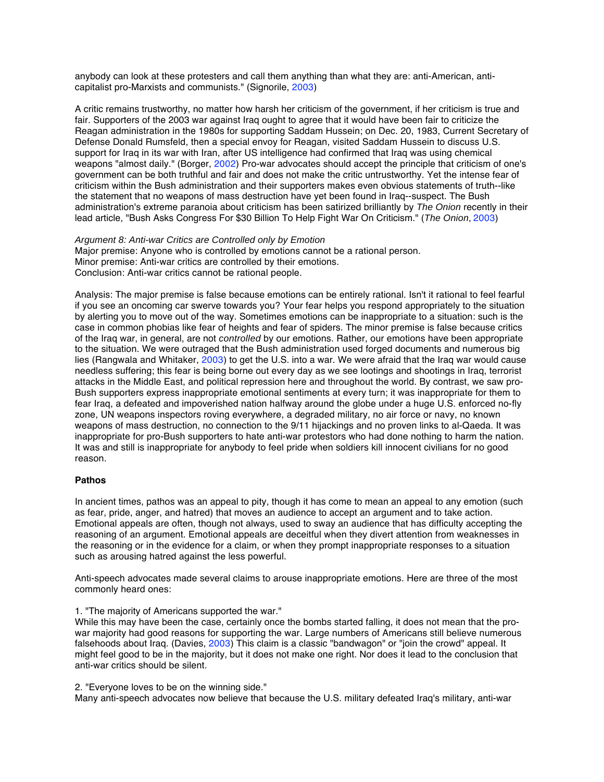anybody can look at these protesters and call them anything than what they are: anti-American, anticapitalist pro-Marxists and communists." (Signorile, 2003)

A critic remains trustworthy, no matter how harsh her criticism of the government, if her criticism is true and fair. Supporters of the 2003 war against Iraq ought to agree that it would have been fair to criticize the Reagan administration in the 1980s for supporting Saddam Hussein; on Dec. 20, 1983, Current Secretary of Defense Donald Rumsfeld, then a special envoy for Reagan, visited Saddam Hussein to discuss U.S. support for Iraq in its war with Iran, after US intelligence had confirmed that Iraq was using chemical weapons "almost daily." (Borger, 2002) Pro-war advocates should accept the principle that criticism of one's government can be both truthful and fair and does not make the critic untrustworthy. Yet the intense fear of criticism within the Bush administration and their supporters makes even obvious statements of truth--like the statement that no weapons of mass destruction have yet been found in Iraq--suspect. The Bush administration's extreme paranoia about criticism has been satirized brilliantly by The Onion recently in their lead article, "Bush Asks Congress For \$30 Billion To Help Fight War On Criticism." (The Onion, 2003)

Argument 8: Anti-war Critics are Controlled only by Emotion Major premise: Anyone who is controlled by emotions cannot be a rational person. Minor premise: Anti-war critics are controlled by their emotions. Conclusion: Anti-war critics cannot be rational people.

Analysis: The major premise is false because emotions can be entirely rational. Isn't it rational to feel fearful if you see an oncoming car swerve towards you? Your fear helps you respond appropriately to the situation by alerting you to move out of the way. Sometimes emotions can be inappropriate to a situation: such is the case in common phobias like fear of heights and fear of spiders. The minor premise is false because critics of the Iraq war, in general, are not *controlled* by our emotions. Rather, our emotions have been appropriate to the situation. We were outraged that the Bush administration used forged documents and numerous big lies (Rangwala and Whitaker, 2003) to get the U.S. into a war. We were afraid that the Iraq war would cause needless suffering; this fear is being borne out every day as we see lootings and shootings in Iraq, terrorist attacks in the Middle East, and political repression here and throughout the world. By contrast, we saw pro-Bush supporters express inappropriate emotional sentiments at every turn; it was inappropriate for them to fear Iraq, a defeated and impoverished nation halfway around the globe under a huge U.S. enforced no-fly zone, UN weapons inspectors roving everywhere, a degraded military, no air force or navy, no known weapons of mass destruction, no connection to the 9/11 hijackings and no proven links to al-Qaeda. It was inappropriate for pro-Bush supporters to hate anti-war protestors who had done nothing to harm the nation. It was and still is inappropriate for anybody to feel pride when soldiers kill innocent civilians for no good reason.

#### **Pathos**

In ancient times, pathos was an appeal to pity, though it has come to mean an appeal to any emotion (such as fear, pride, anger, and hatred) that moves an audience to accept an argument and to take action. Emotional appeals are often, though not always, used to sway an audience that has difficulty accepting the reasoning of an argument. Emotional appeals are deceitful when they divert attention from weaknesses in the reasoning or in the evidence for a claim, or when they prompt inappropriate responses to a situation such as arousing hatred against the less powerful.

Anti-speech advocates made several claims to arouse inappropriate emotions. Here are three of the most commonly heard ones:

1. "The majority of Americans supported the war."

While this may have been the case, certainly once the bombs started falling, it does not mean that the prowar majority had good reasons for supporting the war. Large numbers of Americans still believe numerous falsehoods about Iraq. (Davies, 2003) This claim is a classic "bandwagon" or "join the crowd" appeal. It might feel good to be in the majority, but it does not make one right. Nor does it lead to the conclusion that anti-war critics should be silent.

2. "Everyone loves to be on the winning side."

Many anti-speech advocates now believe that because the U.S. military defeated Iraq's military, anti-war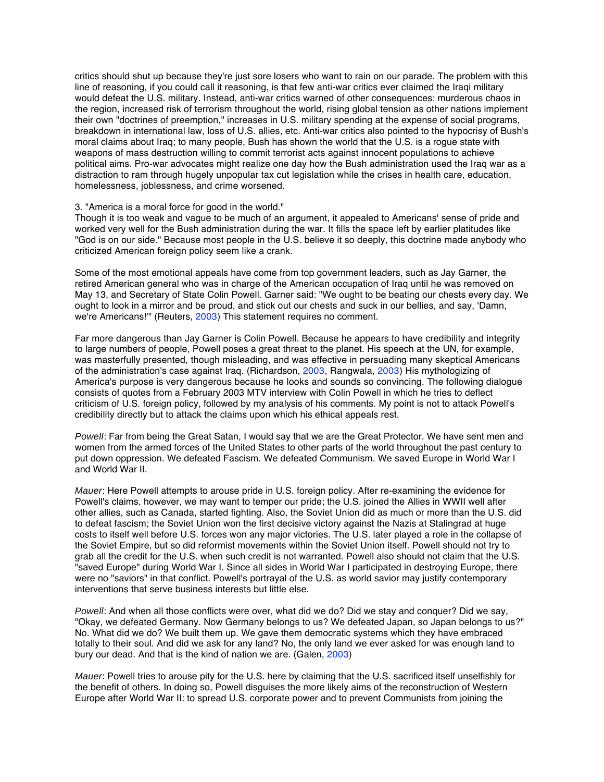critics should shut up because they're just sore losers who want to rain on our parade. The problem with this line of reasoning, if you could call it reasoning, is that few anti-war critics ever claimed the Iraqi military would defeat the U.S. military. Instead, anti-war critics warned of other consequences: murderous chaos in the region, increased risk of terrorism throughout the world, rising global tension as other nations implement their own "doctrines of preemption," increases in U.S. military spending at the expense of social programs, breakdown in international law, loss of U.S. allies, etc. Anti-war critics also pointed to the hypocrisy of Bush's moral claims about Iraq; to many people, Bush has shown the world that the U.S. is a rogue state with weapons of mass destruction willing to commit terrorist acts against innocent populations to achieve political aims. Pro-war advocates might realize one day how the Bush administration used the Iraq war as a distraction to ram through hugely unpopular tax cut legislation while the crises in health care, education, homelessness, joblessness, and crime worsened.

#### 3. "America is a moral force for good in the world."

Though it is too weak and vague to be much of an argument, it appealed to Americans' sense of pride and worked very well for the Bush administration during the war. It fills the space left by earlier platitudes like "God is on our side." Because most people in the U.S. believe it so deeply, this doctrine made anybody who criticized American foreign policy seem like a crank.

Some of the most emotional appeals have come from top government leaders, such as Jay Garner, the retired American general who was in charge of the American occupation of Iraq until he was removed on May 13, and Secretary of State Colin Powell. Garner said: "We ought to be beating our chests every day. We ought to look in a mirror and be proud, and stick out our chests and suck in our bellies, and say, 'Damn, we're Americans!" (Reuters, 2003) This statement requires no comment.

Far more dangerous than Jay Garner is Colin Powell. Because he appears to have credibility and integrity to large numbers of people, Powell poses a great threat to the planet. His speech at the UN, for example, was masterfully presented, though misleading, and was effective in persuading many skeptical Americans of the administration's case against Iraq. (Richardson, 2003, Rangwala, 2003) His mythologizing of America's purpose is very dangerous because he looks and sounds so convincing. The following dialogue consists of quotes from a February 2003 MTV interview with Colin Powell in which he tries to deflect criticism of U.S. foreign policy, followed by my analysis of his comments. My point is not to attack Powell's credibility directly but to attack the claims upon which his ethical appeals rest.

Powell: Far from being the Great Satan, I would say that we are the Great Protector. We have sent men and women from the armed forces of the United States to other parts of the world throughout the past century to put down oppression. We defeated Fascism. We defeated Communism. We saved Europe in World War I and World War II.

Mauer: Here Powell attempts to arouse pride in U.S. foreign policy. After re-examining the evidence for Powell's claims, however, we may want to temper our pride; the U.S. joined the Allies in WWII well after other allies, such as Canada, started fighting. Also, the Soviet Union did as much or more than the U.S. did to defeat fascism; the Soviet Union won the first decisive victory against the Nazis at Stalingrad at huge costs to itself well before U.S. forces won any major victories. The U.S. later played a role in the collapse of the Soviet Empire, but so did reformist movements within the Soviet Union itself. Powell should not try to grab all the credit for the U.S. when such credit is not warranted. Powell also should not claim that the U.S. "saved Europe" during World War I. Since all sides in World War I participated in destroying Europe, there were no "saviors" in that conflict. Powell's portrayal of the U.S. as world savior may justify contemporary interventions that serve business interests but little else.

Powell: And when all those conflicts were over, what did we do? Did we stay and conquer? Did we say, "Okay, we defeated Germany. Now Germany belongs to us? We defeated Japan, so Japan belongs to us?" No. What did we do? We built them up. We gave them democratic systems which they have embraced totally to their soul. And did we ask for any land? No, the only land we ever asked for was enough land to bury our dead. And that is the kind of nation we are. (Galen, 2003)

Mauer: Powell tries to arouse pity for the U.S. here by claiming that the U.S. sacrificed itself unselfishly for the benefit of others. In doing so, Powell disguises the more likely aims of the reconstruction of Western Europe after World War II: to spread U.S. corporate power and to prevent Communists from joining the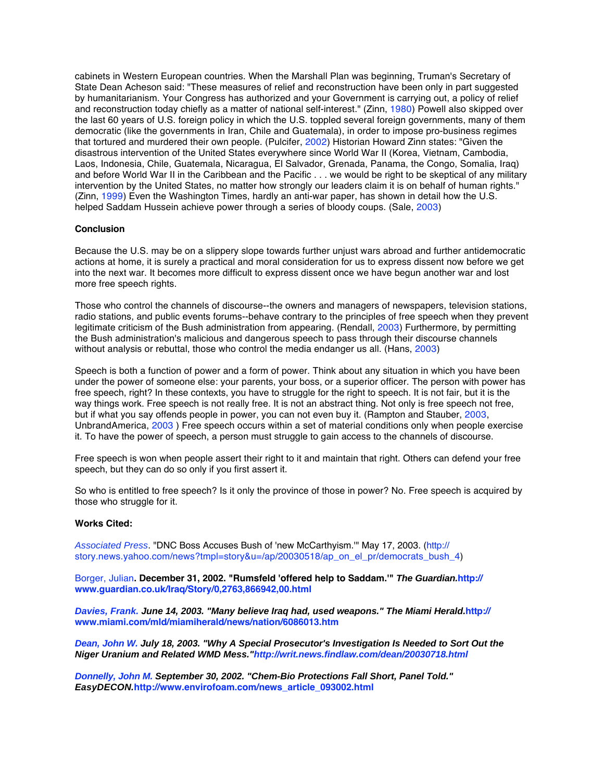cabinets in Western European countries. When the Marshall Plan was beginning, Truman's Secretary of State Dean Acheson said: "These measures of relief and reconstruction have been only in part suggested by humanitarianism. Your Congress has authorized and your Government is carrying out, a policy of relief and reconstruction today chiefly as a matter of national self-interest." (Zinn, 1980) Powell also skipped over the last 60 years of U.S. foreign policy in which the U.S. toppled several foreign governments, many of them democratic (like the governments in Iran, Chile and Guatemala), in order to impose pro-business regimes that tortured and murdered their own people. (Pulcifer, 2002) Historian Howard Zinn states: "Given the disastrous intervention of the United States everywhere since World War II (Korea, Vietnam, Cambodia, Laos, Indonesia, Chile, Guatemala, Nicaragua, El Salvador, Grenada, Panama, the Congo, Somalia, Iraq) and before World War II in the Caribbean and the Pacific . . . we would be right to be skeptical of any military intervention by the United States, no matter how strongly our leaders claim it is on behalf of human rights." (Zinn, 1999) Even the Washington Times, hardly an anti-war paper, has shown in detail how the U.S. helped Saddam Hussein achieve power through a series of bloody coups. (Sale, 2003)

#### **Conclusion**

Because the U.S. may be on a slippery slope towards further unjust wars abroad and further antidemocratic actions at home, it is surely a practical and moral consideration for us to express dissent now before we get into the next war. It becomes more difficult to express dissent once we have begun another war and lost more free speech rights.

Those who control the channels of discourse--the owners and managers of newspapers, television stations, radio stations, and public events forums--behave contrary to the principles of free speech when they prevent legitimate criticism of the Bush administration from appearing. (Rendall, 2003) Furthermore, by permitting the Bush administration's malicious and dangerous speech to pass through their discourse channels without analysis or rebuttal, those who control the media endanger us all. (Hans, 2003)

Speech is both a function of power and a form of power. Think about any situation in which you have been under the power of someone else: your parents, your boss, or a superior officer. The person with power has free speech, right? In these contexts, you have to struggle for the right to speech. It is not fair, but it is the way things work. Free speech is not really free. It is not an abstract thing. Not only is free speech not free, but if what you say offends people in power, you can not even buy it. (Rampton and Stauber, 2003, UnbrandAmerica, 2003 ) Free speech occurs within a set of material conditions only when people exercise it. To have the power of speech, a person must struggle to gain access to the channels of discourse.

Free speech is won when people assert their right to it and maintain that right. Others can defend your free speech, but they can do so only if you first assert it.

So who is entitled to free speech? Is it only the province of those in power? No. Free speech is acquired by those who struggle for it.

#### **Works Cited:**

Associated Press. "DNC Boss Accuses Bush of 'new McCarthyism." May 17, 2003. (http:// story.news.yahoo.com/news?tmpl=story&u=/ap/20030518/ap\_on\_el\_pr/democrats\_bush\_4)

Borger, Julian**. December 31, 2002. "Rumsfeld 'offered help to Saddam.'" The Guardian.http:// www.guardian.co.uk/Iraq/Story/0,2763,866942,00.html**

**Davies, Frank. June 14, 2003. "Many believe Iraq had, used weapons." The Miami Herald.http:// www.miami.com/mld/miamiherald/news/nation/6086013.htm**

**Dean, John W. July 18, 2003. "Why A Special Prosecutor's Investigation Is Needed to Sort Out the Niger Uranium and Related WMD Mess."http://writ.news.findlaw.com/dean/20030718.html**

**Donnelly, John M. September 30, 2002. "Chem-Bio Protections Fall Short, Panel Told." EasyDECON.http://www.envirofoam.com/news\_article\_093002.html**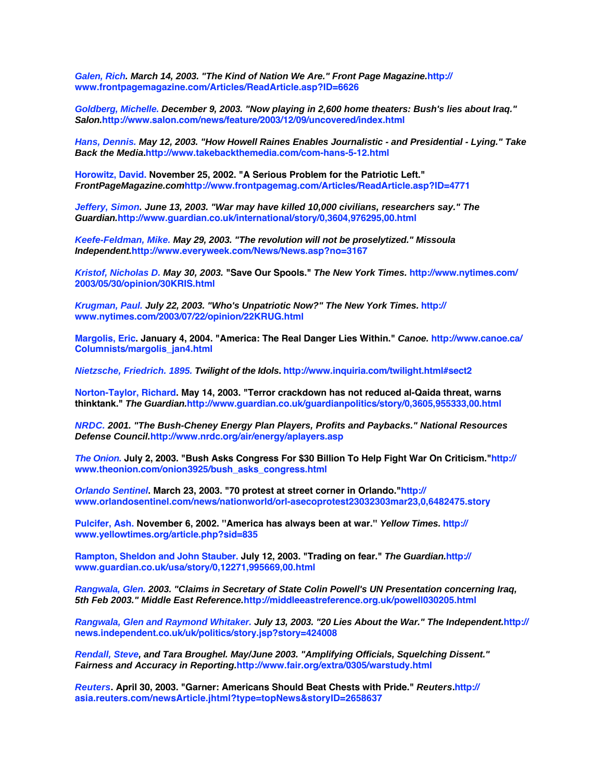**Galen, Rich. March 14, 2003. "The Kind of Nation We Are." Front Page Magazine.http:// www.frontpagemagazine.com/Articles/ReadArticle.asp?ID=6626**

**Goldberg, Michelle. December 9, 2003. "Now playing in 2,600 home theaters: Bush's lies about Iraq." Salon.http://www.salon.com/news/feature/2003/12/09/uncovered/index.html**

**Hans, Dennis. May 12, 2003. "How Howell Raines Enables Journalistic - and Presidential - Lying." Take Back the Media.http://www.takebackthemedia.com/com-hans-5-12.html**

**Horowitz, David. November 25, 2002. "A Serious Problem for the Patriotic Left." FrontPageMagazine.comhttp://www.frontpagemag.com/Articles/ReadArticle.asp?ID=4771**

**Jeffery, Simon. June 13, 2003. "War may have killed 10,000 civilians, researchers say." The Guardian.http://www.guardian.co.uk/international/story/0,3604,976295,00.html**

**Keefe-Feldman, Mike. May 29, 2003. "The revolution will not be proselytized." Missoula Independent.http://www.everyweek.com/News/News.asp?no=3167**

**Kristof, Nicholas D. May 30, 2003. "Save Our Spools." The New York Times. http://www.nytimes.com/ 2003/05/30/opinion/30KRIS.html**

**Krugman, Paul. July 22, 2003. "Who's Unpatriotic Now?" The New York Times. http:// www.nytimes.com/2003/07/22/opinion/22KRUG.html**

**Margolis, Eric. January 4, 2004. "America: The Real Danger Lies Within." Canoe. http://www.canoe.ca/ Columnists/margolis\_jan4.html**

**Nietzsche, Friedrich. 1895. Twilight of the Idols. http://www.inquiria.com/twilight.html#sect2**

**Norton-Taylor, Richard. May 14, 2003. "Terror crackdown has not reduced al-Qaida threat, warns thinktank." The Guardian.http://www.guardian.co.uk/guardianpolitics/story/0,3605,955333,00.html**

**NRDC. 2001. "The Bush-Cheney Energy Plan Players, Profits and Paybacks." National Resources Defense Council.http://www.nrdc.org/air/energy/aplayers.asp**

**The Onion. July 2, 2003. "Bush Asks Congress For \$30 Billion To Help Fight War On Criticism."http:// www.theonion.com/onion3925/bush\_asks\_congress.html**

**Orlando Sentinel. March 23, 2003. "70 protest at street corner in Orlando."http:// www.orlandosentinel.com/news/nationworld/orl-asecoprotest23032303mar23,0,6482475.story**

**Pulcifer, Ash. November 6, 2002. ''America has always been at war.'' Yellow Times. http:// www.yellowtimes.org/article.php?sid=835**

**Rampton, Sheldon and John Stauber. July 12, 2003. "Trading on fear." The Guardian.http:// www.guardian.co.uk/usa/story/0,12271,995669,00.html**

**Rangwala, Glen. 2003. "Claims in Secretary of State Colin Powell's UN Presentation concerning Iraq, 5th Feb 2003." Middle East Reference.http://middleeastreference.org.uk/powell030205.html**

**Rangwala, Glen and Raymond Whitaker. July 13, 2003. "20 Lies About the War." The Independent.http:// news.independent.co.uk/uk/politics/story.jsp?story=424008**

**Rendall, Steve, and Tara Broughel. May/June 2003. "Amplifying Officials, Squelching Dissent." Fairness and Accuracy in Reporting.http://www.fair.org/extra/0305/warstudy.html**

**Reuters. April 30, 2003. "Garner: Americans Should Beat Chests with Pride." Reuters.http:// asia.reuters.com/newsArticle.jhtml?type=topNews&storyID=2658637**